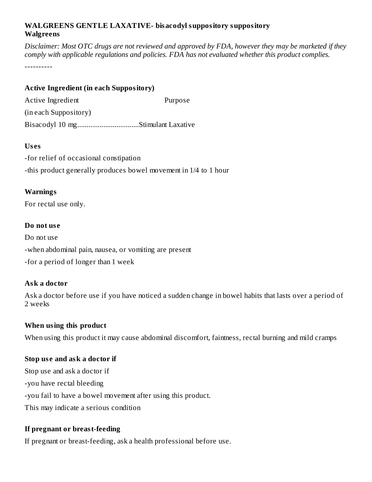#### **WALGREENS GENTLE LAXATIVE- bisacodyl suppository suppository Walgreens**

Disclaimer: Most OTC drugs are not reviewed and approved by FDA, however they may be marketed if they *comply with applicable regulations and policies. FDA has not evaluated whether this product complies.*

----------

#### **Active Ingredient (in each Suppository)**

Active Ingredient **Purpose** (in each Suppository) Bisacodyl 10 mg.................................Stimulant Laxative

#### **Us es**

-for relief of occasional constipation -this product generally produces bowel movement in 1/4 to 1 hour

#### **Warnings**

For rectal use only.

#### **Do not us e**

Do not use -when abdominal pain, nausea, or vomiting are present -for a period of longer than 1 week

# **Ask a doctor**

Ask a doctor before use if you have noticed a sudden change in bowel habits that lasts over a period of 2 weeks

# **When using this product**

When using this product it may cause abdominal discomfort, faintness, rectal burning and mild cramps

# **Stop us e and ask a doctor if**

Stop use and ask a doctor if -you have rectal bleeding -you fail to have a bowel movement after using this product. This may indicate a serious condition

# **If pregnant or breast-feeding**

If pregnant or breast-feeding, ask a health professional before use.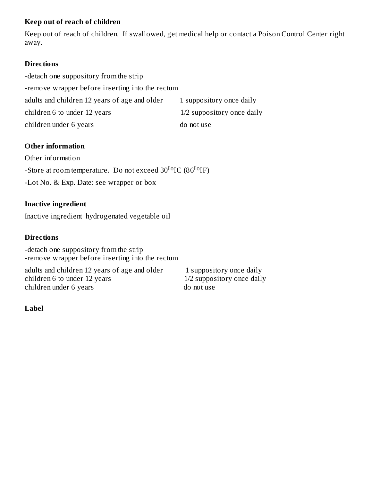#### **Keep out of reach of children**

Keep out of reach of children. If swallowed, get medical help or contact a Poison Control Center right away.

#### **Directions**

-detach one suppository from the strip -remove wrapper before inserting into the rectum adults and children 12 years of age and older 1 suppository once daily children 6 to under 12 years 1/2 suppository once daily children under 6 years do not use

# **Other information**

Other information -Store at room temperature. Do not exceed 30  $\mathrm{^{10}OIC}$  (86  $\mathrm{^{10}OFr}$ ) -Lot No. & Exp. Date: see wrapper or box

#### **Inactive ingredient**

Inactive ingredient hydrogenated vegetable oil

#### **Directions**

-detach one suppository from the strip -remove wrapper before inserting into the rectum

adults and children 12 years of age and older 1 suppository once daily children 6 to under 12 years 1/2 suppository once daily children under 6 years do not use

#### **Label**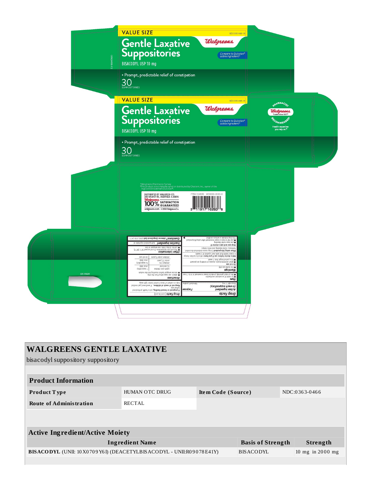

| <b>WALGREENS GENTLE LAXATIVE</b>                                            |                       |                    |                          |               |                    |
|-----------------------------------------------------------------------------|-----------------------|--------------------|--------------------------|---------------|--------------------|
| bisacodyl suppository suppository                                           |                       |                    |                          |               |                    |
|                                                                             |                       |                    |                          |               |                    |
| <b>Product Information</b>                                                  |                       |                    |                          |               |                    |
| <b>Product Type</b>                                                         | <b>HUMAN OTC DRUG</b> | Item Code (Source) |                          | NDC:0363-0466 |                    |
| <b>Route of Administration</b>                                              | <b>RECTAL</b>         |                    |                          |               |                    |
|                                                                             |                       |                    |                          |               |                    |
|                                                                             |                       |                    |                          |               |                    |
| <b>Active Ingredient/Active Moiety</b>                                      |                       |                    |                          |               |                    |
| <b>Ingredient Name</b>                                                      |                       |                    | <b>Basis of Strength</b> |               | <b>Strength</b>    |
| BISACODYL (UNII: 10 X0 70 9 Y6 I) (DEACETYLBISACODYL - UNII: R0 90 78 E41Y) |                       |                    | <b>BISACODYL</b>         |               | 10 mg in $2000$ mg |
|                                                                             |                       |                    |                          |               |                    |